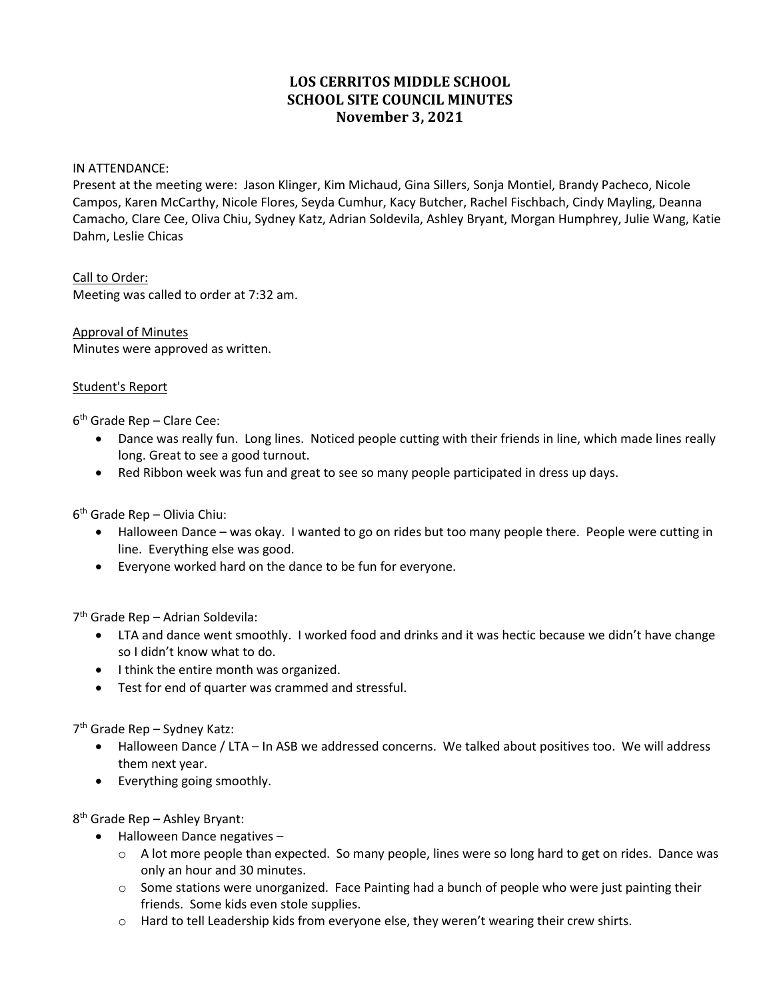# **LOS CERRITOS MIDDLE SCHOOL SCHOOL SITE COUNCIL MINUTES November 3, 2021**

#### IN ATTENDANCE:

Present at the meeting were: Jason Klinger, Kim Michaud, Gina Sillers, Sonja Montiel, Brandy Pacheco, Nicole Campos, Karen McCarthy, Nicole Flores, Seyda Cumhur, Kacy Butcher, Rachel Fischbach, Cindy Mayling, Deanna Camacho, Clare Cee, Oliva Chiu, Sydney Katz, Adrian Soldevila, Ashley Bryant, Morgan Humphrey, Julie Wang, Katie Dahm, Leslie Chicas

Call to Order: Meeting was called to order at 7:32 am.

Approval of Minutes Minutes were approved as written.

#### Student's Report

 $6<sup>th</sup>$  Grade Rep – Clare Cee:

- Dance was really fun. Long lines. Noticed people cutting with their friends in line, which made lines really long. Great to see a good turnout.
- Red Ribbon week was fun and great to see so many people participated in dress up days.

6th Grade Rep – Olivia Chiu:

- Halloween Dance was okay. I wanted to go on rides but too many people there. People were cutting in line. Everything else was good.
- Everyone worked hard on the dance to be fun for everyone.

7th Grade Rep – Adrian Soldevila:

- LTA and dance went smoothly. I worked food and drinks and it was hectic because we didn't have change so I didn't know what to do.
- I think the entire month was organized.
- Test for end of quarter was crammed and stressful.

7th Grade Rep – Sydney Katz:

- Halloween Dance / LTA In ASB we addressed concerns. We talked about positives too. We will address them next year.
- Everything going smoothly.

8th Grade Rep – Ashley Bryant:

- Halloween Dance negatives
	- $\circ$  A lot more people than expected. So many people, lines were so long hard to get on rides. Dance was only an hour and 30 minutes.
	- $\circ$  Some stations were unorganized. Face Painting had a bunch of people who were just painting their friends. Some kids even stole supplies.
	- o Hard to tell Leadership kids from everyone else, they weren't wearing their crew shirts.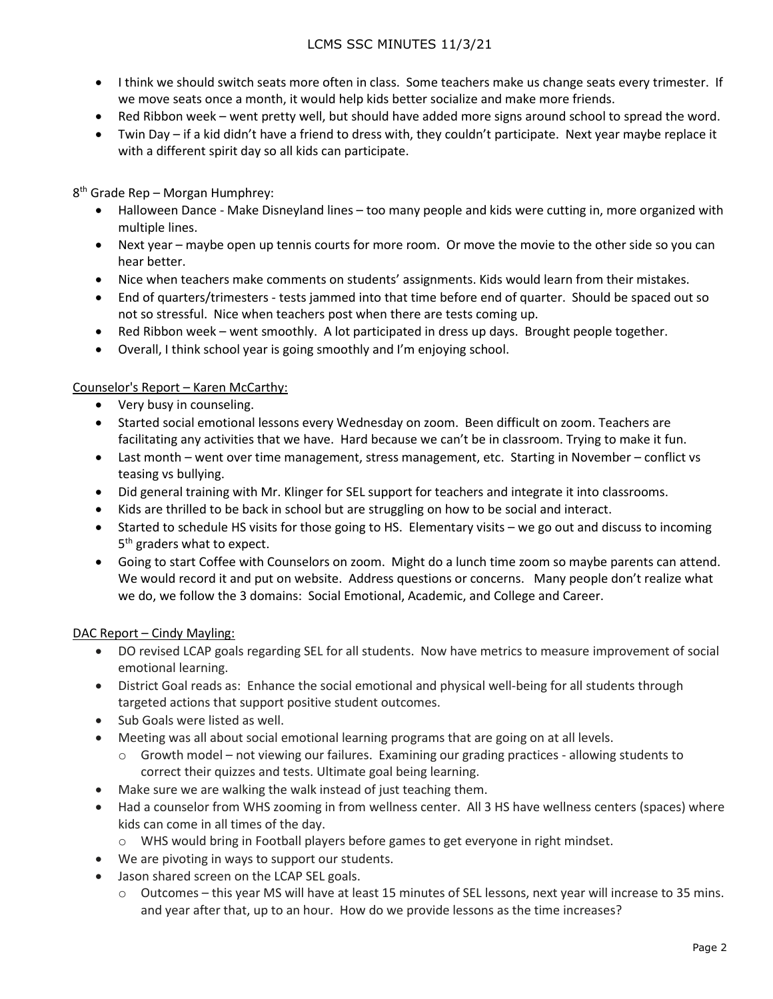## LCMS SSC MINUTES 11/3/21

- I think we should switch seats more often in class. Some teachers make us change seats every trimester. If we move seats once a month, it would help kids better socialize and make more friends.
- Red Ribbon week went pretty well, but should have added more signs around school to spread the word.
- Twin Day if a kid didn't have a friend to dress with, they couldn't participate. Next year maybe replace it with a different spirit day so all kids can participate.

8th Grade Rep – Morgan Humphrey:

- Halloween Dance Make Disneyland lines too many people and kids were cutting in, more organized with multiple lines.
- Next year maybe open up tennis courts for more room. Or move the movie to the other side so you can hear better.
- Nice when teachers make comments on students' assignments. Kids would learn from their mistakes.
- End of quarters/trimesters tests jammed into that time before end of quarter. Should be spaced out so not so stressful. Nice when teachers post when there are tests coming up.
- Red Ribbon week went smoothly. A lot participated in dress up days. Brought people together.
- Overall, I think school year is going smoothly and I'm enjoying school.

### Counselor's Report – Karen McCarthy:

- Very busy in counseling.
- Started social emotional lessons every Wednesday on zoom. Been difficult on zoom. Teachers are facilitating any activities that we have. Hard because we can't be in classroom. Trying to make it fun.
- Last month went over time management, stress management, etc. Starting in November conflict vs teasing vs bullying.
- Did general training with Mr. Klinger for SEL support for teachers and integrate it into classrooms.
- Kids are thrilled to be back in school but are struggling on how to be social and interact.
- Started to schedule HS visits for those going to HS. Elementary visits we go out and discuss to incoming 5<sup>th</sup> graders what to expect.
- Going to start Coffee with Counselors on zoom. Might do a lunch time zoom so maybe parents can attend. We would record it and put on website. Address questions or concerns. Many people don't realize what we do, we follow the 3 domains: Social Emotional, Academic, and College and Career.

### DAC Report – Cindy Mayling:

- DO revised LCAP goals regarding SEL for all students. Now have metrics to measure improvement of social emotional learning.
- District Goal reads as: Enhance the social emotional and physical well-being for all students through targeted actions that support positive student outcomes.
- Sub Goals were listed as well.
- Meeting was all about social emotional learning programs that are going on at all levels.
	- $\circ$  Growth model not viewing our failures. Examining our grading practices allowing students to correct their quizzes and tests. Ultimate goal being learning.
- Make sure we are walking the walk instead of just teaching them.
- Had a counselor from WHS zooming in from wellness center. All 3 HS have wellness centers (spaces) where kids can come in all times of the day.
	- o WHS would bring in Football players before games to get everyone in right mindset.
- We are pivoting in ways to support our students.
- Jason shared screen on the LCAP SEL goals.
	- o Outcomes this year MS will have at least 15 minutes of SEL lessons, next year will increase to 35 mins. and year after that, up to an hour. How do we provide lessons as the time increases?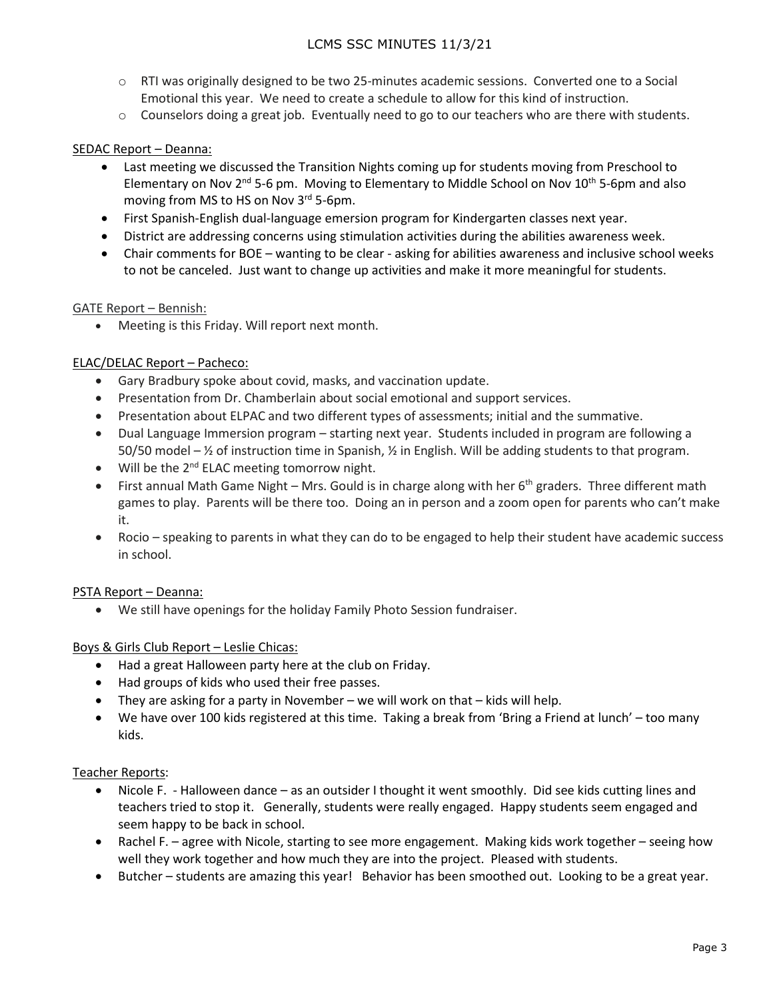# LCMS SSC MINUTES 11/3/21

- o RTI was originally designed to be two 25-minutes academic sessions. Converted one to a Social Emotional this year. We need to create a schedule to allow for this kind of instruction.
- $\circ$  Counselors doing a great job. Eventually need to go to our teachers who are there with students.

### SEDAC Report – Deanna:

- Last meeting we discussed the Transition Nights coming up for students moving from Preschool to Elementary on Nov  $2<sup>nd</sup> 5-6$  pm. Moving to Elementary to Middle School on Nov 10<sup>th</sup> 5-6pm and also moving from MS to HS on Nov 3<sup>rd</sup> 5-6pm.
- First Spanish-English dual-language emersion program for Kindergarten classes next year.
- District are addressing concerns using stimulation activities during the abilities awareness week.
- Chair comments for BOE wanting to be clear asking for abilities awareness and inclusive school weeks to not be canceled. Just want to change up activities and make it more meaningful for students.

### GATE Report – Bennish:

Meeting is this Friday. Will report next month.

### ELAC/DELAC Report – Pacheco:

- Gary Bradbury spoke about covid, masks, and vaccination update.
- Presentation from Dr. Chamberlain about social emotional and support services.
- Presentation about ELPAC and two different types of assessments; initial and the summative.
- Dual Language Immersion program starting next year. Students included in program are following a 50/50 model – ½ of instruction time in Spanish, ½ in English. Will be adding students to that program.
- Will be the  $2^{nd}$  ELAC meeting tomorrow night.
- First annual Math Game Night Mrs. Gould is in charge along with her 6<sup>th</sup> graders. Three different math games to play. Parents will be there too. Doing an in person and a zoom open for parents who can't make it.
- Rocio speaking to parents in what they can do to be engaged to help their student have academic success in school.

### PSTA Report – Deanna:

• We still have openings for the holiday Family Photo Session fundraiser.

### Boys & Girls Club Report – Leslie Chicas:

- Had a great Halloween party here at the club on Friday.
- Had groups of kids who used their free passes.
- They are asking for a party in November we will work on that kids will help.
- We have over 100 kids registered at this time. Taking a break from 'Bring a Friend at lunch' too many kids.

### Teacher Reports:

- Nicole F. Halloween dance as an outsider I thought it went smoothly. Did see kids cutting lines and teachers tried to stop it. Generally, students were really engaged. Happy students seem engaged and seem happy to be back in school.
- Rachel F. agree with Nicole, starting to see more engagement. Making kids work together seeing how well they work together and how much they are into the project. Pleased with students.
- Butcher students are amazing this year! Behavior has been smoothed out. Looking to be a great year.